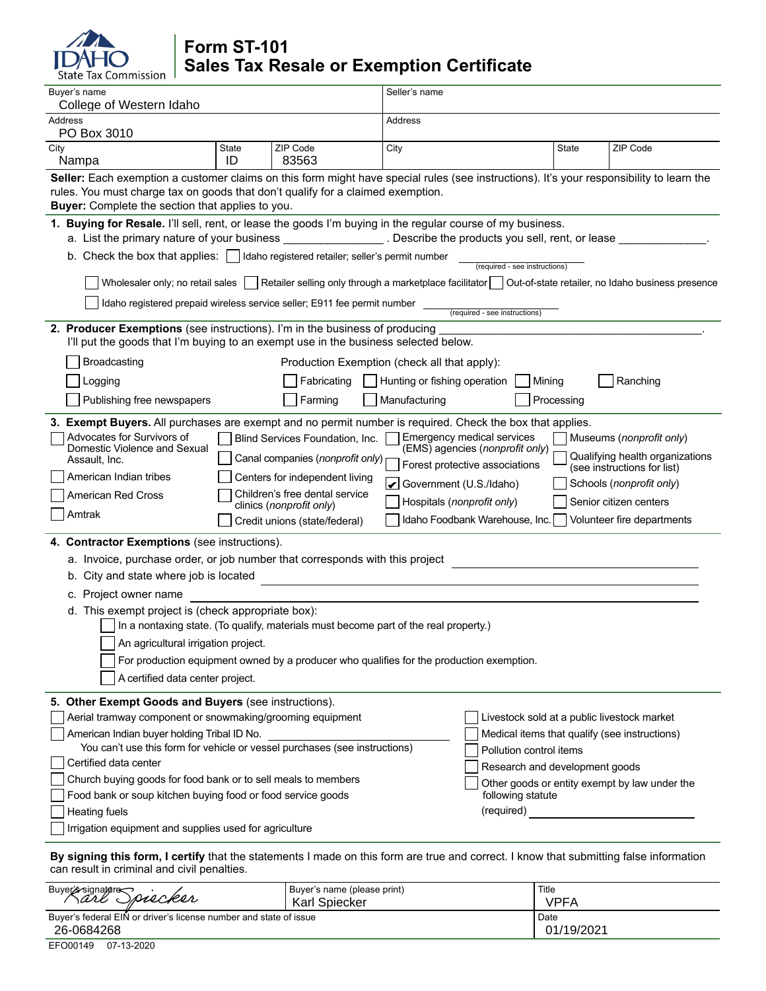# Commission

# **Form ST-101 Sales Tax Resale or Exemption Certificate**

| Buyer's name<br>College of Western Idaho                                                                                                                                                                                                                                                                                                                                                                                                |                                                                                                                                                             |                                                                     | Seller's name              |                                |            |                                               |  |
|-----------------------------------------------------------------------------------------------------------------------------------------------------------------------------------------------------------------------------------------------------------------------------------------------------------------------------------------------------------------------------------------------------------------------------------------|-------------------------------------------------------------------------------------------------------------------------------------------------------------|---------------------------------------------------------------------|----------------------------|--------------------------------|------------|-----------------------------------------------|--|
| Address<br>PO Box 3010                                                                                                                                                                                                                                                                                                                                                                                                                  |                                                                                                                                                             | Address                                                             |                            |                                |            |                                               |  |
| City<br>Nampa                                                                                                                                                                                                                                                                                                                                                                                                                           | State<br>ID                                                                                                                                                 | ZIP Code<br>83563                                                   | City                       |                                | State      | ZIP Code                                      |  |
| Seller: Each exemption a customer claims on this form might have special rules (see instructions). It's your responsibility to learn the<br>rules. You must charge tax on goods that don't qualify for a claimed exemption.<br>Buyer: Complete the section that applies to you.                                                                                                                                                         |                                                                                                                                                             |                                                                     |                            |                                |            |                                               |  |
| 1. Buying for Resale. I'll sell, rent, or lease the goods I'm buying in the regular course of my business.<br>a. List the primary nature of your business and the section of Describe the products you sell, rent, or lease                                                                                                                                                                                                             |                                                                                                                                                             |                                                                     |                            |                                |            |                                               |  |
| b. Check the box that applies:   Idaho registered retailer; seller's permit number<br>(required - see instructions)                                                                                                                                                                                                                                                                                                                     |                                                                                                                                                             |                                                                     |                            |                                |            |                                               |  |
| Wholesaler only; no retail sales   Retailer selling only through a marketplace facilitator   Out-of-state retailer, no Idaho business presence                                                                                                                                                                                                                                                                                          |                                                                                                                                                             |                                                                     |                            |                                |            |                                               |  |
| Idaho registered prepaid wireless service seller; E911 fee permit number<br>(required - see instructions)                                                                                                                                                                                                                                                                                                                               |                                                                                                                                                             |                                                                     |                            |                                |            |                                               |  |
| 2. Producer Exemptions (see instructions). I'm in the business of producing<br>I'll put the goods that I'm buying to an exempt use in the business selected below.                                                                                                                                                                                                                                                                      |                                                                                                                                                             |                                                                     |                            |                                |            |                                               |  |
| Production Exemption (check all that apply):<br>Broadcasting                                                                                                                                                                                                                                                                                                                                                                            |                                                                                                                                                             |                                                                     |                            |                                |            |                                               |  |
| Ranching<br>Logging<br>Fabricating<br>Hunting or fishing operation<br>Mining                                                                                                                                                                                                                                                                                                                                                            |                                                                                                                                                             |                                                                     |                            |                                |            |                                               |  |
| Publishing free newspapers                                                                                                                                                                                                                                                                                                                                                                                                              |                                                                                                                                                             | Farming                                                             | Manufacturing              |                                | Processing |                                               |  |
| 3. Exempt Buyers. All purchases are exempt and no permit number is required. Check the box that applies.<br>Advocates for Survivors of<br><b>Emergency medical services</b><br>Blind Services Foundation, Inc.<br>Museums (nonprofit only)<br>Domestic Violence and Sexual<br>(EMS) agencies (nonprofit only)<br>Qualifying health organizations<br>Canal companies (nonprofit only)<br>Assault, Inc.<br>Forest protective associations |                                                                                                                                                             |                                                                     |                            |                                |            |                                               |  |
| American Indian tribes                                                                                                                                                                                                                                                                                                                                                                                                                  | (see instructions for list)<br>Centers for independent living<br>Schools (nonprofit only)<br>$\vert\boldsymbol{\checkmark}\vert$<br>Government (U.S./Idaho) |                                                                     |                            |                                |            |                                               |  |
| American Red Cross                                                                                                                                                                                                                                                                                                                                                                                                                      |                                                                                                                                                             | Children's free dental service<br>clinics ( <i>nonprofit only</i> ) | Hospitals (nonprofit only) |                                |            | Senior citizen centers                        |  |
| Amtrak                                                                                                                                                                                                                                                                                                                                                                                                                                  |                                                                                                                                                             | Credit unions (state/federal)                                       |                            | Idaho Foodbank Warehouse, Inc. |            | Volunteer fire departments                    |  |
| 4. Contractor Exemptions (see instructions).                                                                                                                                                                                                                                                                                                                                                                                            |                                                                                                                                                             |                                                                     |                            |                                |            |                                               |  |
| a. Invoice, purchase order, or job number that corresponds with this project                                                                                                                                                                                                                                                                                                                                                            |                                                                                                                                                             |                                                                     |                            |                                |            |                                               |  |
| b. City and state where job is located                                                                                                                                                                                                                                                                                                                                                                                                  |                                                                                                                                                             |                                                                     |                            |                                |            |                                               |  |
| c. Project owner name                                                                                                                                                                                                                                                                                                                                                                                                                   |                                                                                                                                                             |                                                                     |                            |                                |            |                                               |  |
| d. This exempt project is (check appropriate box):<br>In a nontaxing state. (To qualify, materials must become part of the real property.)                                                                                                                                                                                                                                                                                              |                                                                                                                                                             |                                                                     |                            |                                |            |                                               |  |
| An agricultural irrigation project.                                                                                                                                                                                                                                                                                                                                                                                                     |                                                                                                                                                             |                                                                     |                            |                                |            |                                               |  |
| For production equipment owned by a producer who qualifies for the production exemption.                                                                                                                                                                                                                                                                                                                                                |                                                                                                                                                             |                                                                     |                            |                                |            |                                               |  |
| A certified data center project.                                                                                                                                                                                                                                                                                                                                                                                                        |                                                                                                                                                             |                                                                     |                            |                                |            |                                               |  |
| 5. Other Exempt Goods and Buyers (see instructions).                                                                                                                                                                                                                                                                                                                                                                                    |                                                                                                                                                             |                                                                     |                            |                                |            |                                               |  |
| Livestock sold at a public livestock market<br>Aerial tramway component or snowmaking/grooming equipment                                                                                                                                                                                                                                                                                                                                |                                                                                                                                                             |                                                                     |                            |                                |            |                                               |  |
| American Indian buyer holding Tribal ID No.<br>Medical items that qualify (see instructions)<br>You can't use this form for vehicle or vessel purchases (see instructions)<br>Pollution control items                                                                                                                                                                                                                                   |                                                                                                                                                             |                                                                     |                            |                                |            |                                               |  |
| Certified data center                                                                                                                                                                                                                                                                                                                                                                                                                   |                                                                                                                                                             | Research and development goods                                      |                            |                                |            |                                               |  |
| Church buying goods for food bank or to sell meals to members                                                                                                                                                                                                                                                                                                                                                                           |                                                                                                                                                             |                                                                     |                            |                                |            | Other goods or entity exempt by law under the |  |
| Food bank or soup kitchen buying food or food service goods                                                                                                                                                                                                                                                                                                                                                                             |                                                                                                                                                             |                                                                     |                            | following statute              |            |                                               |  |
| (required)<br><b>Heating fuels</b>                                                                                                                                                                                                                                                                                                                                                                                                      |                                                                                                                                                             |                                                                     |                            |                                |            |                                               |  |
|                                                                                                                                                                                                                                                                                                                                                                                                                                         | Irrigation equipment and supplies used for agriculture                                                                                                      |                                                                     |                            |                                |            |                                               |  |

**By signing this form, I certify** that the statements I made on this form are true and correct. I know that submitting false information can result in criminal and civil penalties.

| Buyer signature<br>' Spiecker<br>rare                             | Buyer's name (please print)<br><b>Karl Spiecker</b> | Title<br>VPFA |  |  |  |
|-------------------------------------------------------------------|-----------------------------------------------------|---------------|--|--|--|
| Buver's federal EIN or driver's license number and state of issue |                                                     | Date          |  |  |  |
| 26-0684268                                                        | 01/19/2021                                          |               |  |  |  |
| .<br>_____                                                        |                                                     |               |  |  |  |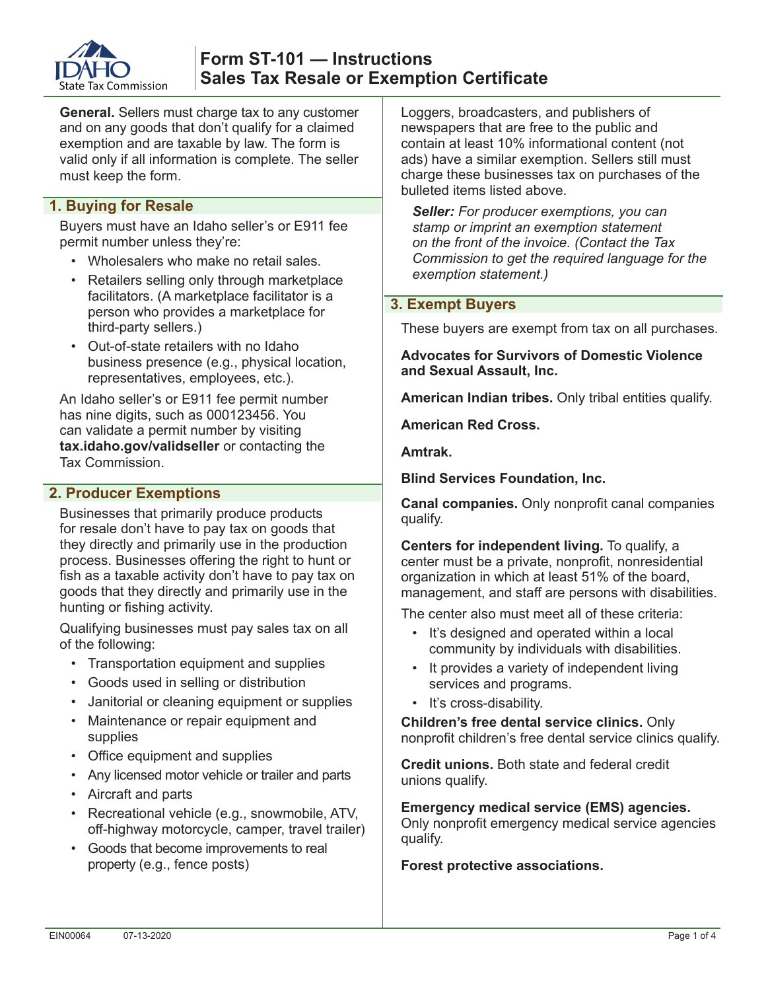

**General.** Sellers must charge tax to any customer and on any goods that don't qualify for a claimed exemption and are taxable by law. The form is valid only if all information is complete. The seller must keep the form.

# **1. Buying for Resale**

Buyers must have an Idaho seller's or E911 fee permit number unless they're:

- Wholesalers who make no retail sales.
- Retailers selling only through marketplace facilitators. (A marketplace facilitator is a person who provides a marketplace for third-party sellers.)
- Out-of-state retailers with no Idaho business presence (e.g., physical location, representatives, employees, etc.).

An Idaho seller's or E911 fee permit number has nine digits, such as 000123456. You can validate a permit number by visiting **tax.idaho.gov/validseller** or contacting the Tax Commission.

# **2. Producer Exemptions**

Businesses that primarily produce products for resale don't have to pay tax on goods that they directly and primarily use in the production process. Businesses offering the right to hunt or fish as a taxable activity don't have to pay tax on goods that they directly and primarily use in the hunting or fishing activity.

Qualifying businesses must pay sales tax on all of the following:

- Transportation equipment and supplies
- Goods used in selling or distribution
- Janitorial or cleaning equipment or supplies
- Maintenance or repair equipment and supplies
- Office equipment and supplies
- Any licensed motor vehicle or trailer and parts
- Aircraft and parts
- Recreational vehicle (e.g., snowmobile, ATV, off-highway motorcycle, camper, travel trailer)
- Goods that become improvements to real property (e.g., fence posts)

Loggers, broadcasters, and publishers of newspapers that are free to the public and contain at least 10% informational content (not ads) have a similar exemption. Sellers still must charge these businesses tax on purchases of the bulleted items listed above.

*Seller: For producer exemptions, you can stamp or imprint an exemption statement on the front of the invoice. (Contact the Tax Commission to get the required language for the exemption statement.)*

## **3. Exempt Buyers**

These buyers are exempt from tax on all purchases.

**Advocates for Survivors of Domestic Violence and Sexual Assault, Inc.** 

**American Indian tribes.** Only tribal entities qualify.

**American Red Cross.**

**Amtrak.** 

**Blind Services Foundation, Inc.**

**Canal companies.** Only nonprofit canal companies qualify.

**Centers for independent living.** To qualify, a center must be a private, nonprofit, nonresidential organization in which at least 51% of the board, management, and staff are persons with disabilities.

The center also must meet all of these criteria:

- It's designed and operated within a local community by individuals with disabilities.
- It provides a variety of independent living services and programs.
- It's cross-disability.

**Children's free dental service clinics.** Only nonprofit children's free dental service clinics qualify.

**Credit unions.** Both state and federal credit unions qualify.

**Emergency medical service (EMS) agencies.**  Only nonprofit emergency medical service agencies qualify.

#### **Forest protective associations.**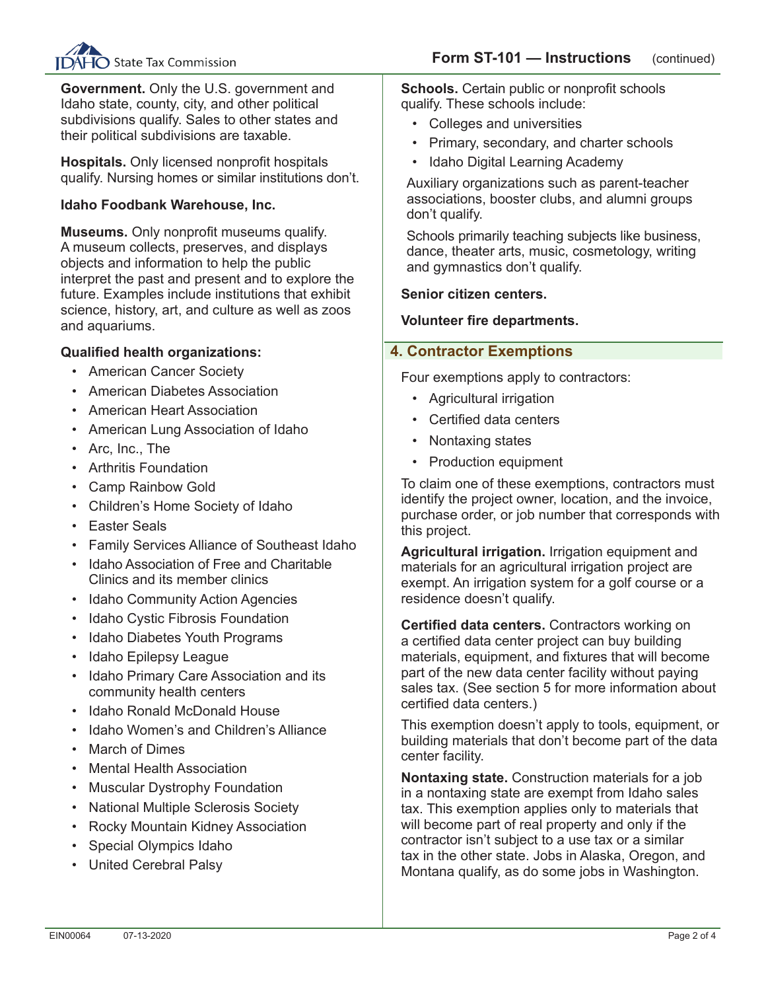

**Government.** Only the U.S. government and Idaho state, county, city, and other political subdivisions qualify. Sales to other states and their political subdivisions are taxable.

**Hospitals.** Only licensed nonprofit hospitals qualify. Nursing homes or similar institutions don't.

### **Idaho Foodbank Warehouse, Inc.**

**Museums.** Only nonprofit museums qualify. A museum collects, preserves, and displays objects and information to help the public interpret the past and present and to explore the future. Examples include institutions that exhibit science, history, art, and culture as well as zoos and aquariums.

#### **Qualified health organizations:**

- American Cancer Society
- American Diabetes Association
- American Heart Association
- American Lung Association of Idaho
- Arc, Inc., The
- Arthritis Foundation
- Camp Rainbow Gold
- Children's Home Society of Idaho
- Easter Seals
- Family Services Alliance of Southeast Idaho
- Idaho Association of Free and Charitable Clinics and its member clinics
- Idaho Community Action Agencies
- Idaho Cystic Fibrosis Foundation
- Idaho Diabetes Youth Programs
- Idaho Epilepsy League
- Idaho Primary Care Association and its community health centers
- Idaho Ronald McDonald House
- Idaho Women's and Children's Alliance
- **March of Dimes**
- Mental Health Association
- Muscular Dystrophy Foundation
- National Multiple Sclerosis Society
- Rocky Mountain Kidney Association
- Special Olympics Idaho
- United Cerebral Palsy

**Schools.** Certain public or nonprofit schools qualify. These schools include:

- Colleges and universities
- Primary, secondary, and charter schools
- Idaho Digital Learning Academy

Auxiliary organizations such as parent-teacher associations, booster clubs, and alumni groups don't qualify.

Schools primarily teaching subjects like business, dance, theater arts, music, cosmetology, writing and gymnastics don't qualify.

#### **Senior citizen centers.**

#### **Volunteer fire departments.**

#### **4. Contractor Exemptions**

Four exemptions apply to contractors:

- Agricultural irrigation
- Certified data centers
- Nontaxing states
- Production equipment

To claim one of these exemptions, contractors must identify the project owner, location, and the invoice, purchase order, or job number that corresponds with this project.

**Agricultural irrigation.** Irrigation equipment and materials for an agricultural irrigation project are exempt. An irrigation system for a golf course or a residence doesn't qualify.

**Certified data centers.** Contractors working on a certified data center project can buy building materials, equipment, and fixtures that will become part of the new data center facility without paying sales tax. (See section 5 for more information about certified data centers.)

This exemption doesn't apply to tools, equipment, or building materials that don't become part of the data center facility.

**Nontaxing state.** Construction materials for a job in a nontaxing state are exempt from Idaho sales tax. This exemption applies only to materials that will become part of real property and only if the contractor isn't subject to a use tax or a similar tax in the other state. Jobs in Alaska, Oregon, and Montana qualify, as do some jobs in Washington.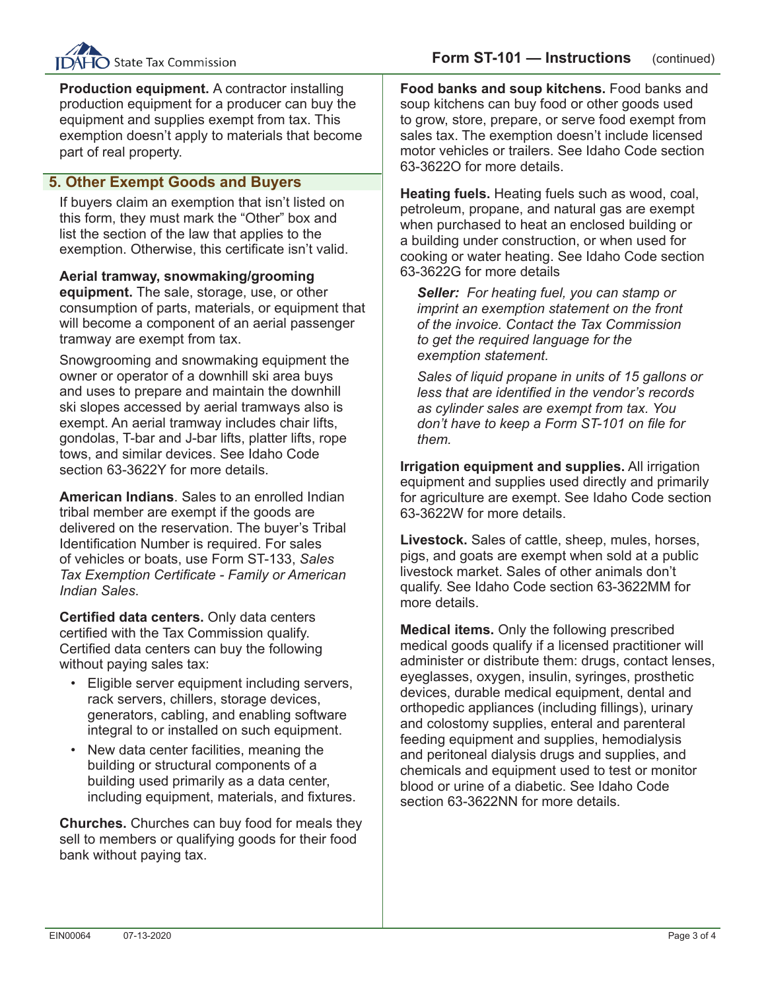

**Production equipment.** A contractor installing production equipment for a producer can buy the equipment and supplies exempt from tax. This exemption doesn't apply to materials that become part of real property.

# **5. Other Exempt Goods and Buyers**

If buyers claim an exemption that isn't listed on this form, they must mark the "Other" box and list the section of the law that applies to the exemption. Otherwise, this certificate isn't valid.

**Aerial tramway, snowmaking/grooming equipment.** The sale, storage, use, or other consumption of parts, materials, or equipment that will become a component of an aerial passenger tramway are exempt from tax.

Snowgrooming and snowmaking equipment the owner or operator of a downhill ski area buys and uses to prepare and maintain the downhill ski slopes accessed by aerial tramways also is exempt. An aerial tramway includes chair lifts, gondolas, T-bar and J-bar lifts, platter lifts, rope tows, and similar devices. See Idaho Code section 63-3622Y for more details.

**American Indians**. Sales to an enrolled Indian tribal member are exempt if the goods are delivered on the reservation. The buyer's Tribal Identification Number is required. For sales of vehicles or boats, use Form ST-133, *Sales Tax Exemption Certificate - Family or American Indian Sales*.

**Certified data centers.** Only data centers certified with the Tax Commission qualify. Certified data centers can buy the following without paying sales tax:

- Eligible server equipment including servers, rack servers, chillers, storage devices, generators, cabling, and enabling software integral to or installed on such equipment.
- New data center facilities, meaning the building or structural components of a building used primarily as a data center, including equipment, materials, and fixtures.

**Churches.** Churches can buy food for meals they sell to members or qualifying goods for their food bank without paying tax.

**Food banks and soup kitchens.** Food banks and soup kitchens can buy food or other goods used to grow, store, prepare, or serve food exempt from sales tax. The exemption doesn't include licensed motor vehicles or trailers. See Idaho Code section 63-3622O for more details.

**Heating fuels.** Heating fuels such as wood, coal, petroleum, propane, and natural gas are exempt when purchased to heat an enclosed building or a building under construction, or when used for cooking or water heating. See Idaho Code section 63-3622G for more details

*Seller: For heating fuel, you can stamp or imprint an exemption statement on the front of the invoice. Contact the Tax Commission to get the required language for the exemption statement.*

*Sales of liquid propane in units of 15 gallons or less that are identified in the vendor's records as cylinder sales are exempt from tax. You don't have to keep a Form ST-101 on file for them.*

**Irrigation equipment and supplies.** All irrigation equipment and supplies used directly and primarily for agriculture are exempt. See Idaho Code section 63-3622W for more details.

**Livestock.** Sales of cattle, sheep, mules, horses, pigs, and goats are exempt when sold at a public livestock market. Sales of other animals don't qualify. See Idaho Code section 63-3622MM for more details.

**Medical items.** Only the following prescribed medical goods qualify if a licensed practitioner will administer or distribute them: drugs, contact lenses, eyeglasses, oxygen, insulin, syringes, prosthetic devices, durable medical equipment, dental and orthopedic appliances (including fillings), urinary and colostomy supplies, enteral and parenteral feeding equipment and supplies, hemodialysis and peritoneal dialysis drugs and supplies, and chemicals and equipment used to test or monitor blood or urine of a diabetic. See Idaho Code section 63-3622NN for more details.